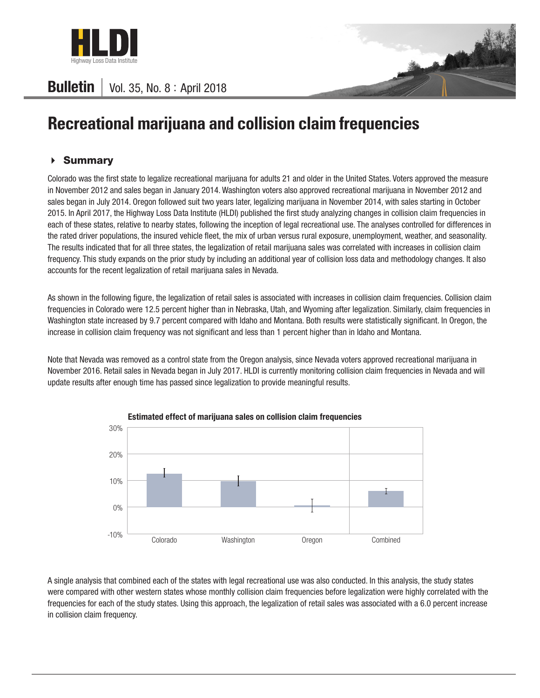

## **Bulletin** | Vol. 35, No.  $8:$  April 2018

# **Recreational marijuana and collision claim frequencies**

### Summary

Colorado was the first state to legalize recreational marijuana for adults 21 and older in the United States. Voters approved the measure in November 2012 and sales began in January 2014. Washington voters also approved recreational marijuana in November 2012 and sales began in July 2014. Oregon followed suit two years later, legalizing marijuana in November 2014, with sales starting in October 2015. In April 2017, the Highway Loss Data Institute (HLDI) published the first study analyzing changes in collision claim frequencies in each of these states, relative to nearby states, following the inception of legal recreational use. The analyses controlled for differences in the rated driver populations, the insured vehicle fleet, the mix of urban versus rural exposure, unemployment, weather, and seasonality. The results indicated that for all three states, the legalization of retail marijuana sales was correlated with increases in collision claim frequency. This study expands on the prior study by including an additional year of collision loss data and methodology changes. It also accounts for the recent legalization of retail marijuana sales in Nevada.

As shown in the following figure, the legalization of retail sales is associated with increases in collision claim frequencies. Collision claim frequencies in Colorado were 12.5 percent higher than in Nebraska, Utah, and Wyoming after legalization. Similarly, claim frequencies in Washington state increased by 9.7 percent compared with Idaho and Montana. Both results were statistically significant. In Oregon, the increase in collision claim frequency was not significant and less than 1 percent higher than in Idaho and Montana.

Note that Nevada was removed as a control state from the Oregon analysis, since Nevada voters approved recreational marijuana in November 2016. Retail sales in Nevada began in July 2017. HLDI is currently monitoring collision claim frequencies in Nevada and will update results after enough time has passed since legalization to provide meaningful results.



Estimated effect of marijuana sales on collision claim frequencies

A single analysis that combined each of the states with legal recreational use was also conducted. In this analysis, the study states were compared with other western states whose monthly collision claim frequencies before legalization were highly correlated with the frequencies for each of the study states. Using this approach, the legalization of retail sales was associated with a 6.0 percent increase in collision claim frequency.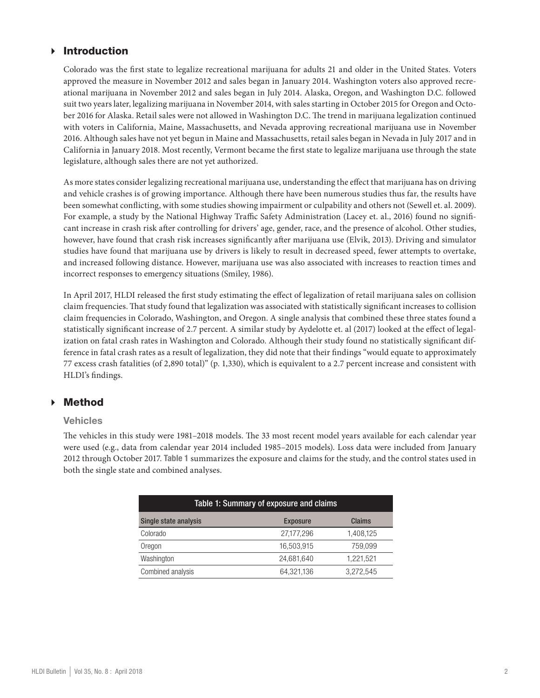### **Introduction**

Colorado was the first state to legalize recreational marijuana for adults 21 and older in the United States. Voters approved the measure in November 2012 and sales began in January 2014. Washington voters also approved recreational marijuana in November 2012 and sales began in July 2014. Alaska, Oregon, and Washington D.C. followed suit two years later, legalizing marijuana in November 2014, with sales starting in October 2015 for Oregon and October 2016 for Alaska. Retail sales were not allowed in Washington D.C. The trend in marijuana legalization continued with voters in California, Maine, Massachusetts, and Nevada approving recreational marijuana use in November 2016. Although sales have not yet begun in Maine and Massachusetts, retail sales began in Nevada in July 2017 and in California in January 2018. Most recently, Vermont became the first state to legalize marijuana use through the state legislature, although sales there are not yet authorized.

As more states consider legalizing recreational marijuana use, understanding the effect that marijuana has on driving and vehicle crashes is of growing importance. Although there have been numerous studies thus far, the results have been somewhat conflicting, with some studies showing impairment or culpability and others not (Sewell et. al. 2009). For example, a study by the National Highway Traffic Safety Administration (Lacey et. al., 2016) found no significant increase in crash risk after controlling for drivers' age, gender, race, and the presence of alcohol. Other studies, however, have found that crash risk increases significantly after marijuana use (Elvik, 2013). Driving and simulator studies have found that marijuana use by drivers is likely to result in decreased speed, fewer attempts to overtake, and increased following distance. However, marijuana use was also associated with increases to reaction times and incorrect responses to emergency situations (Smiley, 1986).

In April 2017, HLDI released the first study estimating the effect of legalization of retail marijuana sales on collision claim frequencies. That study found that legalization was associated with statistically significant increases to collision claim frequencies in Colorado, Washington, and Oregon. A single analysis that combined these three states found a statistically significant increase of 2.7 percent. A similar study by Aydelotte et. al (2017) looked at the effect of legalization on fatal crash rates in Washington and Colorado. Although their study found no statistically significant difference in fatal crash rates as a result of legalization, they did note that their findings "would equate to approximately 77 excess crash fatalities (of 2,890 total)" (p. 1,330), which is equivalent to a 2.7 percent increase and consistent with HLDI's findings.

### Method

#### **Vehicles**

The vehicles in this study were 1981–2018 models. The 33 most recent model years available for each calendar year were used (e.g., data from calendar year 2014 included 1985–2015 models). Loss data were included from January 2012 through October 2017. Table 1 summarizes the exposure and claims for the study, and the control states used in both the single state and combined analyses.

| Table 1: Summary of exposure and claims |                 |           |  |  |  |  |  |
|-----------------------------------------|-----------------|-----------|--|--|--|--|--|
| Single state analysis                   | <b>Exposure</b> | Claims    |  |  |  |  |  |
| Colorado                                | 27,177,296      | 1,408,125 |  |  |  |  |  |
| Oregon                                  | 16,503,915      | 759.099   |  |  |  |  |  |
| Washington                              | 24,681,640      | 1,221,521 |  |  |  |  |  |
| Combined analysis                       | 64.321.136      | 3.272.545 |  |  |  |  |  |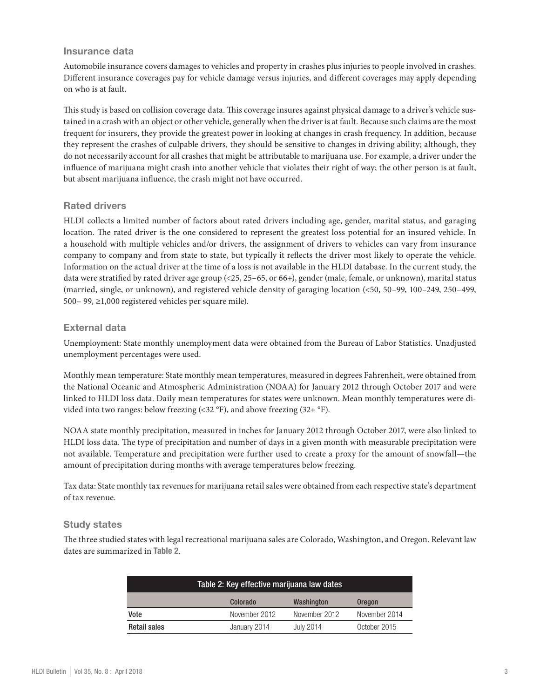#### Insurance data

Automobile insurance covers damages to vehicles and property in crashes plus injuries to people involved in crashes. Different insurance coverages pay for vehicle damage versus injuries, and different coverages may apply depending on who is at fault.

This study is based on collision coverage data. This coverage insures against physical damage to a driver's vehicle sustained in a crash with an object or other vehicle, generally when the driver is at fault. Because such claims are the most frequent for insurers, they provide the greatest power in looking at changes in crash frequency. In addition, because they represent the crashes of culpable drivers, they should be sensitive to changes in driving ability; although, they do not necessarily account for all crashes that might be attributable to marijuana use. For example, a driver under the influence of marijuana might crash into another vehicle that violates their right of way; the other person is at fault, but absent marijuana influence, the crash might not have occurred.

#### Rated drivers

HLDI collects a limited number of factors about rated drivers including age, gender, marital status, and garaging location. The rated driver is the one considered to represent the greatest loss potential for an insured vehicle. In a household with multiple vehicles and/or drivers, the assignment of drivers to vehicles can vary from insurance company to company and from state to state, but typically it reflects the driver most likely to operate the vehicle. Information on the actual driver at the time of a loss is not available in the HLDI database. In the current study, the data were stratified by rated driver age group (<25, 25–65, or 66+), gender (male, female, or unknown), marital status (married, single, or unknown), and registered vehicle density of garaging location (<50, 50–99, 100–249, 250–499, 500– 99, ≥1,000 registered vehicles per square mile).

#### External data

Unemployment: State monthly unemployment data were obtained from the Bureau of Labor Statistics. Unadjusted unemployment percentages were used.

Monthly mean temperature: State monthly mean temperatures, measured in degrees Fahrenheit, were obtained from the National Oceanic and Atmospheric Administration (NOAA) for January 2012 through October 2017 and were linked to HLDI loss data. Daily mean temperatures for states were unknown. Mean monthly temperatures were divided into two ranges: below freezing  $(\leq 32 \text{ °F})$ , and above freezing  $(32 + \text{ °F})$ .

NOAA state monthly precipitation, measured in inches for January 2012 through October 2017, were also linked to HLDI loss data. The type of precipitation and number of days in a given month with measurable precipitation were not available. Temperature and precipitation were further used to create a proxy for the amount of snowfall—the amount of precipitation during months with average temperatures below freezing.

Tax data: State monthly tax revenues for marijuana retail sales were obtained from each respective state's department of tax revenue.

#### Study states

The three studied states with legal recreational marijuana sales are Colorado, Washington, and Oregon. Relevant law dates are summarized in Table 2.

| Table 2: Key effective marijuana law dates |                                         |               |               |  |  |  |  |  |
|--------------------------------------------|-----------------------------------------|---------------|---------------|--|--|--|--|--|
|                                            | Washington<br>Colorado<br><b>Oregon</b> |               |               |  |  |  |  |  |
| Vote                                       | November 2012                           | November 2012 | November 2014 |  |  |  |  |  |
| <b>Retail sales</b>                        | January 2014                            | July 2014     | October 2015  |  |  |  |  |  |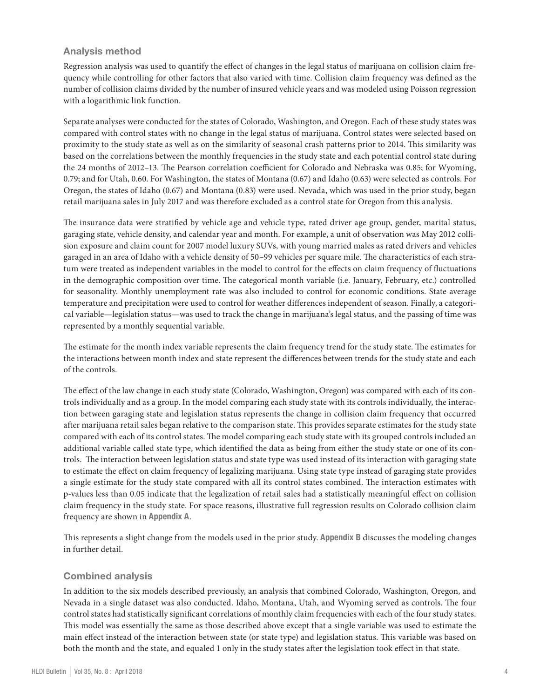#### Analysis method

Regression analysis was used to quantify the effect of changes in the legal status of marijuana on collision claim frequency while controlling for other factors that also varied with time. Collision claim frequency was defined as the number of collision claims divided by the number of insured vehicle years and was modeled using Poisson regression with a logarithmic link function.

Separate analyses were conducted for the states of Colorado, Washington, and Oregon. Each of these study states was compared with control states with no change in the legal status of marijuana. Control states were selected based on proximity to the study state as well as on the similarity of seasonal crash patterns prior to 2014. This similarity was based on the correlations between the monthly frequencies in the study state and each potential control state during the 24 months of 2012–13. The Pearson correlation coefficient for Colorado and Nebraska was 0.85; for Wyoming, 0.79; and for Utah, 0.60. For Washington, the states of Montana (0.67) and Idaho (0.63) were selected as controls. For Oregon, the states of Idaho (0.67) and Montana (0.83) were used. Nevada, which was used in the prior study, began retail marijuana sales in July 2017 and was therefore excluded as a control state for Oregon from this analysis.

The insurance data were stratified by vehicle age and vehicle type, rated driver age group, gender, marital status, garaging state, vehicle density, and calendar year and month. For example, a unit of observation was May 2012 collision exposure and claim count for 2007 model luxury SUVs, with young married males as rated drivers and vehicles garaged in an area of Idaho with a vehicle density of 50–99 vehicles per square mile. The characteristics of each stratum were treated as independent variables in the model to control for the effects on claim frequency of fluctuations in the demographic composition over time. The categorical month variable (i.e. January, February, etc.) controlled for seasonality. Monthly unemployment rate was also included to control for economic conditions. State average temperature and precipitation were used to control for weather differences independent of season. Finally, a categorical variable—legislation status—was used to track the change in marijuana's legal status, and the passing of time was represented by a monthly sequential variable.

The estimate for the month index variable represents the claim frequency trend for the study state. The estimates for the interactions between month index and state represent the differences between trends for the study state and each of the controls.

The effect of the law change in each study state (Colorado, Washington, Oregon) was compared with each of its controls individually and as a group. In the model comparing each study state with its controls individually, the interaction between garaging state and legislation status represents the change in collision claim frequency that occurred after marijuana retail sales began relative to the comparison state. This provides separate estimates for the study state compared with each of its control states. The model comparing each study state with its grouped controls included an additional variable called state type, which identified the data as being from either the study state or one of its controls. The interaction between legislation status and state type was used instead of its interaction with garaging state to estimate the effect on claim frequency of legalizing marijuana. Using state type instead of garaging state provides a single estimate for the study state compared with all its control states combined. The interaction estimates with p-values less than 0.05 indicate that the legalization of retail sales had a statistically meaningful effect on collision claim frequency in the study state. For space reasons, illustrative full regression results on Colorado collision claim frequency are shown in Appendix A.

This represents a slight change from the models used in the prior study. Appendix B discusses the modeling changes in further detail.

#### Combined analysis

In addition to the six models described previously, an analysis that combined Colorado, Washington, Oregon, and Nevada in a single dataset was also conducted. Idaho, Montana, Utah, and Wyoming served as controls. The four control states had statistically significant correlations of monthly claim frequencies with each of the four study states. This model was essentially the same as those described above except that a single variable was used to estimate the main effect instead of the interaction between state (or state type) and legislation status. This variable was based on both the month and the state, and equaled 1 only in the study states after the legislation took effect in that state.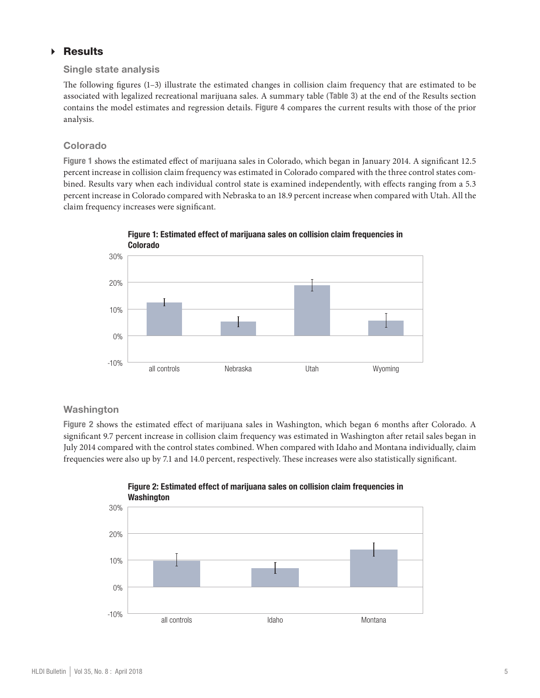## Results

#### Single state analysis

The following figures (1–3) illustrate the estimated changes in collision claim frequency that are estimated to be associated with legalized recreational marijuana sales. A summary table (Table 3) at the end of the Results section contains the model estimates and regression details. Figure 4 compares the current results with those of the prior analysis.

#### Colorado

Figure 1 shows the estimated effect of marijuana sales in Colorado, which began in January 2014. A significant 12.5 percent increase in collision claim frequency was estimated in Colorado compared with the three control states combined. Results vary when each individual control state is examined independently, with effects ranging from a 5.3 percent increase in Colorado compared with Nebraska to an 18.9 percent increase when compared with Utah. All the claim frequency increases were significant.



Figure 1: Estimated effect of marijuana sales on collision claim frequencies in

## **Washington**

Figure 2 shows the estimated effect of marijuana sales in Washington, which began 6 months after Colorado. A significant 9.7 percent increase in collision claim frequency was estimated in Washington after retail sales began in July 2014 compared with the control states combined. When compared with Idaho and Montana individually, claim frequencies were also up by 7.1 and 14.0 percent, respectively. These increases were also statistically significant.



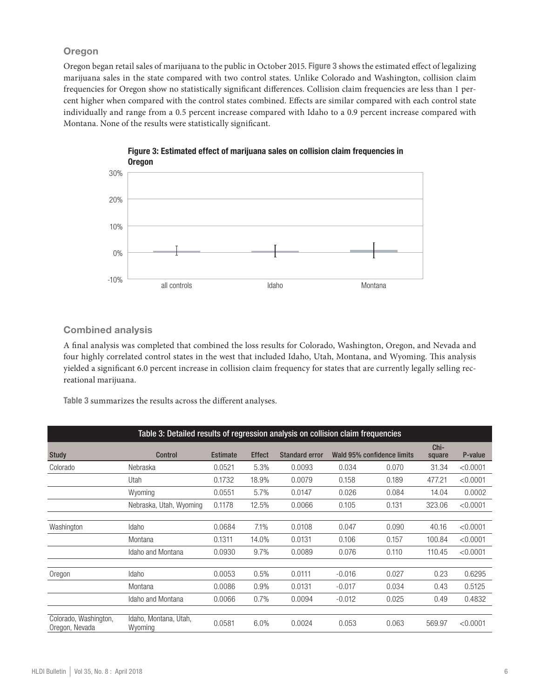#### **Oregon**

Oregon began retail sales of marijuana to the public in October 2015. Figure 3 shows the estimated effect of legalizing marijuana sales in the state compared with two control states. Unlike Colorado and Washington, collision claim frequencies for Oregon show no statistically significant differences. Collision claim frequencies are less than 1 percent higher when compared with the control states combined. Effects are similar compared with each control state individually and range from a 0.5 percent increase compared with Idaho to a 0.9 percent increase compared with Montana. None of the results were statistically significant.



# Figure 3: Estimated effect of marijuana sales on collision claim frequencies in

#### Combined analysis

A final analysis was completed that combined the loss results for Colorado, Washington, Oregon, and Nevada and four highly correlated control states in the west that included Idaho, Utah, Montana, and Wyoming. This analysis yielded a significant 6.0 percent increase in collision claim frequency for states that are currently legally selling recreational marijuana.

Table 3 summarizes the results across the different analyses.

| Table 3: Detailed results of regression analysis on collision claim frequencies |                                  |                 |               |                       |                            |       |                |          |
|---------------------------------------------------------------------------------|----------------------------------|-----------------|---------------|-----------------------|----------------------------|-------|----------------|----------|
| <b>Study</b>                                                                    | <b>Control</b>                   | <b>Estimate</b> | <b>Effect</b> | <b>Standard error</b> | Wald 95% confidence limits |       | Chi-<br>square | P-value  |
| Colorado                                                                        | Nebraska                         | 0.0521          | 5.3%          | 0.0093                | 0.034                      | 0.070 | 31.34          | < 0.0001 |
|                                                                                 | Utah                             | 0.1732          | 18.9%         | 0.0079                | 0.158                      | 0.189 | 477.21         | < 0.0001 |
|                                                                                 | Wyoming                          | 0.0551<br>5.7%  |               | 0.0147                | 0.026                      |       | 14.04          | 0.0002   |
|                                                                                 | Nebraska, Utah, Wyoming          | 0.1178          | 12.5%         | 0.0066                | 0.105                      | 0.131 | 323.06         | < 0.0001 |
|                                                                                 |                                  |                 |               |                       |                            |       |                |          |
| Washington                                                                      | Idaho                            | 0.0684          | 7.1%          | 0.0108                | 0.047                      | 0.090 | 40.16          | < 0.0001 |
|                                                                                 | Montana                          | 0.1311          | 14.0%         | 0.0131                | 0.106                      | 0.157 | 100.84         | < 0.0001 |
|                                                                                 | Idaho and Montana                | 0.0930          | 9.7%          | 0.0089                | 0.076                      | 0.110 | 110.45         | < 0.0001 |
|                                                                                 |                                  |                 |               |                       |                            |       |                |          |
| Oregon                                                                          | Idaho                            | 0.0053          | 0.5%          | 0.0111                | $-0.016$                   | 0.027 | 0.23           | 0.6295   |
|                                                                                 | Montana                          | 0.0086          | 0.9%          | 0.0131                | $-0.017$                   | 0.034 | 0.43           | 0.5125   |
|                                                                                 | Idaho and Montana                | 0.0066          | 0.7%          | 0.0094                | $-0.012$                   | 0.025 | 0.49           | 0.4832   |
|                                                                                 |                                  |                 |               |                       |                            |       |                |          |
| Colorado, Washington,<br>Oregon, Nevada                                         | Idaho, Montana, Utah,<br>Wyoming | 0.0581          | 6.0%          | 0.0024                | 0.053                      | 0.063 | 569.97         | < 0.0001 |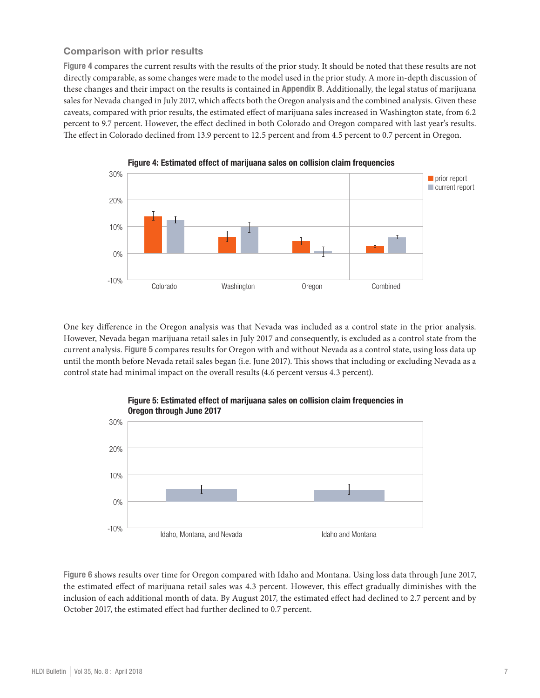#### Comparison with prior results

Figure 4 compares the current results with the results of the prior study. It should be noted that these results are not directly comparable, as some changes were made to the model used in the prior study. A more in-depth discussion of these changes and their impact on the results is contained in Appendix B. Additionally, the legal status of marijuana sales for Nevada changed in July 2017, which affects both the Oregon analysis and the combined analysis. Given these caveats, compared with prior results, the estimated effect of marijuana sales increased in Washington state, from 6.2 percent to 9.7 percent. However, the effect declined in both Colorado and Oregon compared with last year's results. The effect in Colorado declined from 13.9 percent to 12.5 percent and from 4.5 percent to 0.7 percent in Oregon.



One key difference in the Oregon analysis was that Nevada was included as a control state in the prior analysis. However, Nevada began marijuana retail sales in July 2017 and consequently, is excluded as a control state from the current analysis. Figure 5 compares results for Oregon with and without Nevada as a control state, using loss data up until the month before Nevada retail sales began (i.e. June 2017). This shows that including or excluding Nevada as a control state had minimal impact on the overall results (4.6 percent versus 4.3 percent).



## Figure 5: Estimated effect of marijuana sales on collision claim frequencies in

Figure 6 shows results over time for Oregon compared with Idaho and Montana. Using loss data through June 2017, the estimated effect of marijuana retail sales was 4.3 percent. However, this effect gradually diminishes with the inclusion of each additional month of data. By August 2017, the estimated effect had declined to 2.7 percent and by October 2017, the estimated effect had further declined to 0.7 percent.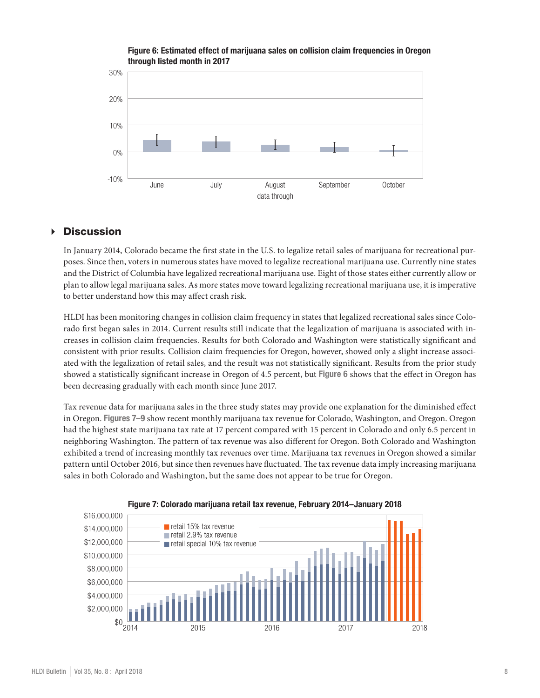#### Figure 6: Estimated effect of marijuana sales on collision claim frequencies in Oregon through listed month in 2017



## Discussion

In January 2014, Colorado became the first state in the U.S. to legalize retail sales of marijuana for recreational purposes. Since then, voters in numerous states have moved to legalize recreational marijuana use. Currently nine states and the District of Columbia have legalized recreational marijuana use. Eight of those states either currently allow or plan to allow legal marijuana sales. As more states move toward legalizing recreational marijuana use, it is imperative to better understand how this may affect crash risk.

HLDI has been monitoring changes in collision claim frequency in states that legalized recreational sales since Colorado first began sales in 2014. Current results still indicate that the legalization of marijuana is associated with increases in collision claim frequencies. Results for both Colorado and Washington were statistically significant and consistent with prior results. Collision claim frequencies for Oregon, however, showed only a slight increase associated with the legalization of retail sales, and the result was not statistically significant. Results from the prior study showed a statistically significant increase in Oregon of 4.5 percent, but Figure 6 shows that the effect in Oregon has been decreasing gradually with each month since June 2017.

Tax revenue data for marijuana sales in the three study states may provide one explanation for the diminished effect in Oregon. Figures 7–9 show recent monthly marijuana tax revenue for Colorado, Washington, and Oregon. Oregon had the highest state marijuana tax rate at 17 percent compared with 15 percent in Colorado and only 6.5 percent in neighboring Washington. The pattern of tax revenue was also different for Oregon. Both Colorado and Washington exhibited a trend of increasing monthly tax revenues over time. Marijuana tax revenues in Oregon showed a similar pattern until October 2016, but since then revenues have fluctuated. The tax revenue data imply increasing marijuana sales in both Colorado and Washington, but the same does not appear to be true for Oregon.



#### Figure 7: Colorado marijuana retail tax revenue, February 2014–January 2018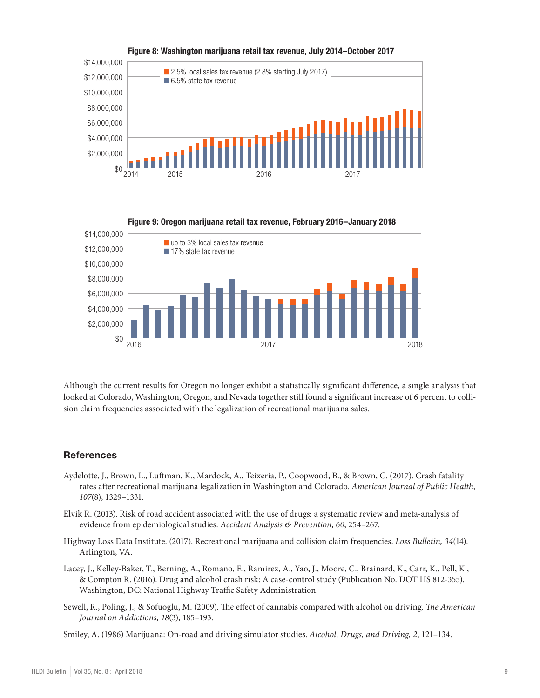

#### Figure 8: Washington marijuana retail tax revenue, July 2014–October 2017



Although the current results for Oregon no longer exhibit a statistically significant difference, a single analysis that looked at Colorado, Washington, Oregon, and Nevada together still found a significant increase of 6 percent to collision claim frequencies associated with the legalization of recreational marijuana sales.

#### **References**

- Aydelotte, J., Brown, L., Luftman, K., Mardock, A., Teixeria, P., Coopwood, B., & Brown, C. (2017). Crash fatality rates after recreational marijuana legalization in Washington and Colorado. *American Journal of Public Health, 107*(8), 1329–1331.
- Elvik R. (2013). Risk of road accident associated with the use of drugs: a systematic review and meta-analysis of evidence from epidemiological studies. *Accident Analysis & Prevention, 60*, 254–267.
- Highway Loss Data Institute. (2017). Recreational marijuana and collision claim frequencies. *Loss Bulletin, 34*(14). Arlington, VA.
- Lacey, J., Kelley-Baker, T., Berning, A., Romano, E., Ramirez, A., Yao, J., Moore, C., Brainard, K., Carr, K., Pell, K., & Compton R. (2016). Drug and alcohol crash risk: A case-control study (Publication No. DOT HS 812-355). Washington, DC: National Highway Traffic Safety Administration.
- Sewell, R., Poling, J., & Sofuoglu, M. (2009). The effect of cannabis compared with alcohol on driving. *The American Journal on Addictions, 18*(3), 185–193.
- Smiley, A. (1986) Marijuana: On-road and driving simulator studies. *Alcohol, Drugs, and Driving, 2*, 121–134.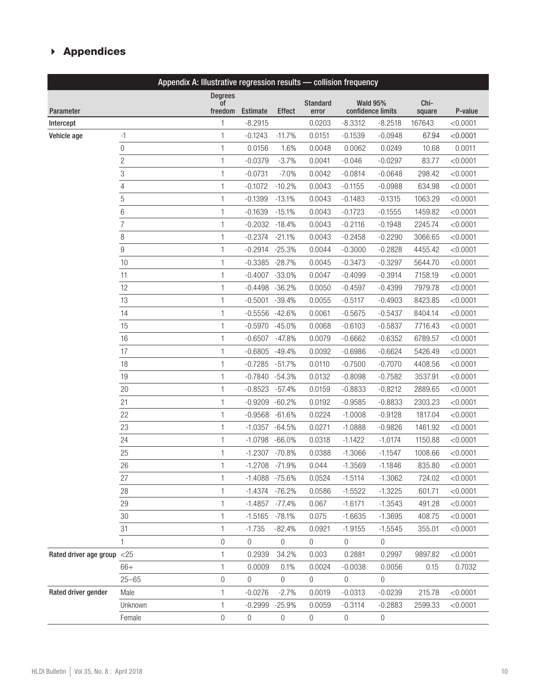## Appendices

| Appendix A: Illustrative regression results - collision frequency |                |                  |                   |                  |                  |                  |                   |         |          |
|-------------------------------------------------------------------|----------------|------------------|-------------------|------------------|------------------|------------------|-------------------|---------|----------|
|                                                                   |                | <b>Degrees</b>   |                   |                  | <b>Standard</b>  |                  | <b>Wald 95%</b>   | Chi-    |          |
| Parameter                                                         |                | 0f<br>freedom    | Estimate          | <b>Effect</b>    | error            |                  | confidence limits | square  | P-value  |
| Intercept                                                         |                | 1                | $-8.2915$         |                  | 0.0203           | $-8.3312$        | $-8.2518$         | 167643  | < 0.0001 |
| Vehicle age                                                       | -1             | 1                | $-0.1243$         | $-11.7%$         | 0.0151           | $-0.1539$        | $-0.0948$         | 67.94   | < 0.0001 |
|                                                                   | 0              | 1                | 0.0156            | 1.6%             | 0.0048           | 0.0062           | 0.0249            | 10.68   | 0.0011   |
|                                                                   | $\overline{2}$ | 1                | $-0.0379$         | $-3.7%$          | 0.0041           | $-0.046$         | $-0.0297$         | 83.77   | < 0.0001 |
|                                                                   | 3              | 1                | $-0.0731$         | $-7.0%$          | 0.0042           | $-0.0814$        | $-0.0648$         | 298.42  | < 0.0001 |
|                                                                   | 4              | 1                | $-0.1072$         | $-10.2%$         | 0.0043           | $-0.1155$        | $-0.0988$         | 634.98  | < 0.0001 |
|                                                                   | 5              | 1                | $-0.1399$         | $-13.1%$         | 0.0043           | $-0.1483$        | $-0.1315$         | 1063.29 | < 0.0001 |
|                                                                   | 6              | 1                | $-0.1639$         | $-15.1%$         | 0.0043           | $-0.1723$        | $-0.1555$         | 1459.82 | < 0.0001 |
|                                                                   | $\overline{7}$ | 1                | $-0.2032$         | $-18.4%$         | 0.0043           | $-0.2116$        | $-0.1948$         | 2245.74 | < 0.0001 |
|                                                                   | 8              | 1                | $-0.2374$         | $-21.1%$         | 0.0043           | $-0.2458$        | $-0.2290$         | 3066.65 | < 0.0001 |
|                                                                   | 9              | 1                | $-0.2914$         | $-25.3%$         | 0.0044           | $-0.3000$        | $-0.2828$         | 4455.42 | < 0.0001 |
|                                                                   | 10             | 1                | $-0.3385$         | $-28.7%$         | 0.0045           | $-0.3473$        | $-0.3297$         | 5644.70 | < 0.0001 |
|                                                                   | 11             | 1                | $-0.4007$         | $-33.0%$         | 0.0047           | $-0.4099$        | $-0.3914$         | 7158.19 | < 0.0001 |
|                                                                   | 12             | 1                | $-0.4498$         | $-36.2%$         | 0.0050           | $-0.4597$        | $-0.4399$         | 7979.78 | < 0.0001 |
|                                                                   | 13             | 1                | $-0.5001$         | $-39.4%$         | 0.0055           | $-0.5117$        | $-0.4903$         | 8423.85 | < 0.0001 |
|                                                                   | 14             | 1                | $-0.5556 - 42.6%$ |                  | 0.0061           | $-0.5675$        | $-0.5437$         | 8404.14 | < 0.0001 |
|                                                                   | 15             | 1                | $-0.5970$         | $-45.0%$         | 0.0068           | $-0.6103$        | $-0.5837$         | 7716.43 | < 0.0001 |
|                                                                   | 16             | 1                | $-0.6507$         | $-47.8%$         | 0.0079           | $-0.6662$        | $-0.6352$         | 6789.57 | < 0.0001 |
|                                                                   | 17             | 1                | $-0.6805$         | $-49.4%$         | 0.0092           | $-0.6986$        | $-0.6624$         | 5426.49 | < 0.0001 |
|                                                                   | 18             | 1                | $-0.7285$         | $-51.7%$         | 0.0110           | $-0.7500$        | $-0.7070$         | 4408.56 | < 0.0001 |
|                                                                   | 19             | 1                | $-0.7840$         | $-54.3%$         | 0.0132           | $-0.8098$        | $-0.7582$         | 3537.91 | < 0.0001 |
|                                                                   | 20             | 1                | $-0.8523$         | $-57.4%$         | 0.0159           | $-0.8833$        | $-0.8212$         | 2889.65 | < 0.0001 |
|                                                                   | 21             | 1                | $-0.9209$         | $-60.2%$         | 0.0192           | $-0.9585$        | $-0.8833$         | 2303.23 | < 0.0001 |
|                                                                   | 22             | 1                | $-0.9568$         | $-61.6%$         | 0.0224           | $-1.0008$        | $-0.9128$         | 1817.04 | < 0.0001 |
|                                                                   | 23             | 1                | $-1.0357$         | $-64.5%$         | 0.0271           | $-1.0888$        | $-0.9826$         | 1461.92 | < 0.0001 |
|                                                                   | 24             | 1                | $-1.0798$         | $-66.0%$         | 0.0318           | $-1.1422$        | $-1.0174$         | 1150.88 | < 0.0001 |
|                                                                   | 25             | 1                | $-1.2307$         | $-70.8%$         | 0.0388           | $-1.3066$        | $-1.1547$         | 1008.66 | < 0.0001 |
|                                                                   | 26             | 1                | $-1.2708 - 71.9%$ |                  | 0.044            | $-1.3569$        | $-1.1846$         | 835.80  | < 0.0001 |
|                                                                   | 27             | 1                | -1.4088 -75.6%    |                  | 0.0524           | $-1.5114$        | $-1.3062$         | 724.02  | < 0.0001 |
|                                                                   | 28             | 1                | $-1.4374$         | $-76.2%$         | 0.0586           | $-1.5522$        | $-1.3225$         | 601.71  | < 0.0001 |
|                                                                   | 29             | 1                | $-1.4857$         | $-77.4%$         | 0.067            | $-1.6171$        | $-1.3543$         | 491.28  | < 0.0001 |
|                                                                   | 30             | 1                | $-1.5165$         | $-78.1%$         | 0.075            | $-1.6635$        | $-1.3695$         | 408.75  | < 0.0001 |
|                                                                   | 31             | 1                | $-1.735$          | $-82.4%$         | 0.0921           | $-1.9155$        | $-1.5545$         | 355.01  | < 0.0001 |
|                                                                   | 1              | 0                | $\overline{0}$    | 0                | $\boldsymbol{0}$ | 0                | 0                 |         |          |
| Rated driver age group                                            | $<$ 25         | 1                | 0.2939            | 34.2%            | 0.003            | 0.2881           | 0.2997            | 9897.82 | < 0.0001 |
|                                                                   | $66+$          | 1                | 0.0009            | 0.1%             | 0.0024           | $-0.0038$        | 0.0056            | 0.15    | 0.7032   |
|                                                                   | $25 - 65$      | $\boldsymbol{0}$ | $\overline{0}$    | 0                | $\overline{0}$   | $\mathbf{0}$     | $\mathbf{0}$      |         |          |
| Rated driver gender                                               | Male           | 1                | $-0.0276$         | $-2.7%$          | 0.0019           | $-0.0313$        | $-0.0239$         | 215.78  | < 0.0001 |
|                                                                   | Unknown        | 1                | $-0.2999$         | $-25.9%$         | 0.0059           | $-0.3114$        | $-0.2883$         | 2599.33 | < 0.0001 |
|                                                                   | Female         | $\boldsymbol{0}$ | $\boldsymbol{0}$  | $\boldsymbol{0}$ | $\boldsymbol{0}$ | $\boldsymbol{0}$ | $\boldsymbol{0}$  |         |          |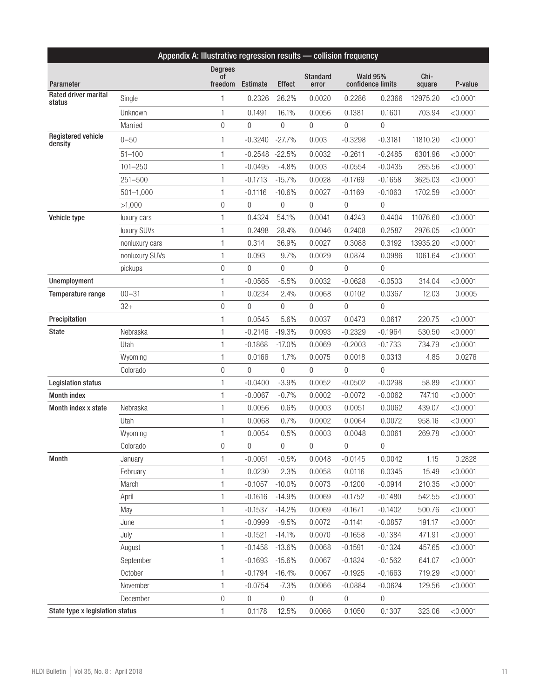| Appendix A: Illustrative regression results - collision frequency |                |                                            |                |                  |                          |                |                                      |                |          |
|-------------------------------------------------------------------|----------------|--------------------------------------------|----------------|------------------|--------------------------|----------------|--------------------------------------|----------------|----------|
| Parameter                                                         |                | <b>Degrees</b><br><sup>of</sup><br>freedom | Estimate       | <b>Effect</b>    | <b>Standard</b><br>error |                | <b>Wald 95%</b><br>confidence limits | Chi-<br>square | P-value  |
| Rated driver marital                                              | Single         | 1                                          | 0.2326         | 26.2%            | 0.0020                   | 0.2286         | 0.2366                               | 12975.20       | < 0.0001 |
| status                                                            | Unknown        | 1                                          | 0.1491         | 16.1%            | 0.0056                   | 0.1381         | 0.1601                               | 703.94         | < 0.0001 |
|                                                                   | Married        | 0                                          | 0              | $\theta$         | 0                        | $\theta$       | 0                                    |                |          |
| <b>Registered vehicle</b>                                         |                |                                            |                |                  |                          |                |                                      |                |          |
| density                                                           | $0 - 50$       | 1                                          | $-0.3240$      | $-27.7%$         | 0.003                    | $-0.3298$      | $-0.3181$                            | 11810.20       | < 0.0001 |
|                                                                   | $51 - 100$     | 1                                          | $-0.2548$      | $-22.5%$         | 0.0032                   | $-0.2611$      | $-0.2485$                            | 6301.96        | < 0.0001 |
|                                                                   | $101 - 250$    | $\mathbf{1}$                               | $-0.0495$      | $-4.8%$          | 0.003                    | $-0.0554$      | $-0.0435$                            | 265.56         | < 0.0001 |
|                                                                   | $251 - 500$    | 1                                          | $-0.1713$      | $-15.7%$         | 0.0028                   | $-0.1769$      | $-0.1658$                            | 3625.03        | < 0.0001 |
|                                                                   | $501 - 1,000$  | 1                                          | $-0.1116$      | $-10.6%$         | 0.0027                   | $-0.1169$      | $-0.1063$                            | 1702.59        | < 0.0001 |
|                                                                   | >1,000         | $\mathbf 0$                                | 0              | $\theta$         | 0                        | $\theta$       | 0                                    |                |          |
| Vehicle type                                                      | luxury cars    | 1                                          | 0.4324         | 54.1%            | 0.0041                   | 0.4243         | 0.4404                               | 11076.60       | < 0.0001 |
|                                                                   | luxury SUVs    | $\mathbf{1}$                               | 0.2498         | 28.4%            | 0.0046                   | 0.2408         | 0.2587                               | 2976.05        | < 0.0001 |
|                                                                   | nonluxury cars | 1                                          | 0.314          | 36.9%            | 0.0027                   | 0.3088         | 0.3192                               | 13935.20       | < 0.0001 |
|                                                                   | nonluxury SUVs | 1                                          | 0.093          | 9.7%             | 0.0029                   | 0.0874         | 0.0986                               | 1061.64        | < 0.0001 |
|                                                                   | pickups        | $\mathbf 0$                                | 0              | 0                | 0                        | $\theta$       | 0                                    |                |          |
| Unemployment                                                      |                | 1                                          | $-0.0565$      | $-5.5%$          | 0.0032                   | $-0.0628$      | $-0.0503$                            | 314.04         | < 0.0001 |
| Temperature range                                                 | $00 - 31$      | $\mathbf{1}$                               | 0.0234         | 2.4%             | 0.0068                   | 0.0102         | 0.0367                               | 12.03          | 0.0005   |
|                                                                   | $32+$          | $\boldsymbol{0}$                           | 0              | $\boldsymbol{0}$ | $\overline{0}$           | $\mathbf 0$    | $\overline{0}$                       |                |          |
| Precipitation                                                     |                | 1                                          | 0.0545         | 5.6%             | 0.0037                   | 0.0473         | 0.0617                               | 220.75         | < 0.0001 |
| <b>State</b>                                                      | Nebraska       | 1                                          | $-0.2146$      | $-19.3%$         | 0.0093                   | $-0.2329$      | $-0.1964$                            | 530.50         | < 0.0001 |
|                                                                   | Utah           | 1                                          | $-0.1868$      | $-17.0%$         | 0.0069                   | $-0.2003$      | $-0.1733$                            | 734.79         | < 0.0001 |
|                                                                   | Wyoming        | $\mathbf{1}$                               | 0.0166         | 1.7%             | 0.0075                   | 0.0018         | 0.0313                               | 4.85           | 0.0276   |
|                                                                   | Colorado       | $\boldsymbol{0}$                           | $\overline{0}$ | $\overline{0}$   | $\boldsymbol{0}$         | $\overline{0}$ | $\overline{0}$                       |                |          |
| <b>Legislation status</b>                                         |                | 1                                          | $-0.0400$      | $-3.9%$          | 0.0052                   | $-0.0502$      | $-0.0298$                            | 58.89          | < 0.0001 |
| <b>Month index</b>                                                |                | 1                                          | $-0.0067$      | $-0.7%$          | 0.0002                   | $-0.0072$      | $-0.0062$                            | 747.10         | < 0.0001 |
| Month index x state                                               | Nebraska       | 1                                          | 0.0056         | 0.6%             | 0.0003                   | 0.0051         | 0.0062                               | 439.07         | < 0.0001 |
|                                                                   | Utah           | $\mathbf{1}$                               | 0.0068         | 0.7%             | 0.0002                   | 0.0064         | 0.0072                               | 958.16         | < 0.0001 |
|                                                                   | Wyoming        | 1                                          | 0.0054         | 0.5%             | 0.0003                   | 0.0048         | 0.0061                               | 269.78         | < 0.0001 |
|                                                                   | Colorado       | 0                                          | 0              | $\overline{0}$   | $\overline{0}$           | $\overline{0}$ | $\overline{0}$                       |                |          |
| <b>Month</b>                                                      | January        | 1                                          | $-0.0051$      | $-0.5%$          | 0.0048                   | $-0.0145$      | 0.0042                               | 1.15           | 0.2828   |
|                                                                   | February       | 1                                          | 0.0230         | 2.3%             | 0.0058                   | 0.0116         | 0.0345                               | 15.49          | < 0.0001 |
|                                                                   | March          | 1                                          | $-0.1057$      | $-10.0%$         | 0.0073                   | $-0.1200$      | $-0.0914$                            | 210.35         | < 0.0001 |
|                                                                   | April          | 1                                          | $-0.1616$      | $-14.9%$         | 0.0069                   | $-0.1752$      | $-0.1480$                            | 542.55         | < 0.0001 |
|                                                                   | May            | 1                                          | $-0.1537$      | $-14.2%$         | 0.0069                   | $-0.1671$      | $-0.1402$                            | 500.76         | < 0.0001 |
|                                                                   | June           | 1                                          | $-0.0999$      | $-9.5%$          | 0.0072                   | $-0.1141$      | $-0.0857$                            | 191.17         | < 0.0001 |
|                                                                   | July           | 1                                          | $-0.1521$      | $-14.1%$         | 0.0070                   | $-0.1658$      | $-0.1384$                            | 471.91         | < 0.0001 |
|                                                                   | August         | 1                                          | $-0.1458$      | $-13.6%$         | 0.0068                   | $-0.1591$      | $-0.1324$                            | 457.65         | < 0.0001 |
|                                                                   | September      | 1                                          | $-0.1693$      | $-15.6%$         | 0.0067                   | $-0.1824$      | $-0.1562$                            | 641.07         | < 0.0001 |
|                                                                   | October        | 1                                          | $-0.1794$      | $-16.4%$         | 0.0067                   | $-0.1925$      | $-0.1663$                            | 719.29         | < 0.0001 |
|                                                                   | November       | 1                                          | $-0.0754$      | $-7.3%$          | 0.0066                   | $-0.0884$      | $-0.0624$                            | 129.56         | < 0.0001 |
|                                                                   | December       | 0                                          | $\overline{0}$ | $\boldsymbol{0}$ | $\overline{0}$           | $\overline{0}$ | 0                                    |                |          |
| State type x legislation status                                   |                | 1                                          | 0.1178         | 12.5%            | 0.0066                   | 0.1050         | 0.1307                               | 323.06         | < 0.0001 |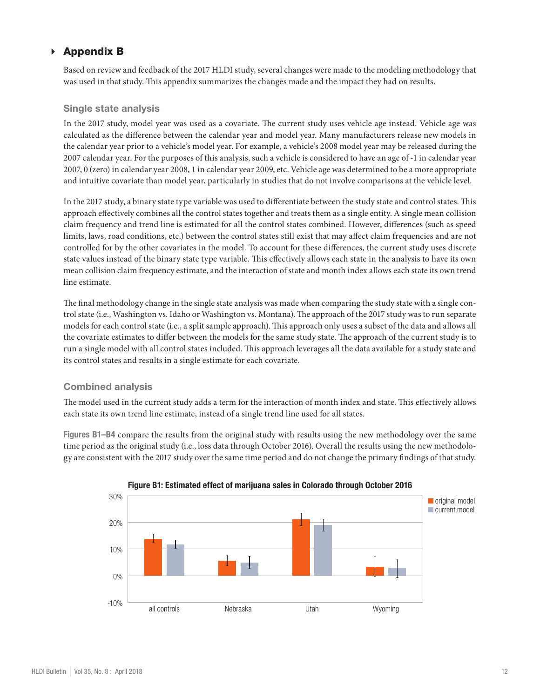## Appendix B

Based on review and feedback of the 2017 HLDI study, several changes were made to the modeling methodology that was used in that study. This appendix summarizes the changes made and the impact they had on results.

#### Single state analysis

In the 2017 study, model year was used as a covariate. The current study uses vehicle age instead. Vehicle age was calculated as the difference between the calendar year and model year. Many manufacturers release new models in the calendar year prior to a vehicle's model year. For example, a vehicle's 2008 model year may be released during the 2007 calendar year. For the purposes of this analysis, such a vehicle is considered to have an age of -1 in calendar year 2007, 0 (zero) in calendar year 2008, 1 in calendar year 2009, etc. Vehicle age was determined to be a more appropriate and intuitive covariate than model year, particularly in studies that do not involve comparisons at the vehicle level.

In the 2017 study, a binary state type variable was used to differentiate between the study state and control states. This approach effectively combines all the control states together and treats them as a single entity. A single mean collision claim frequency and trend line is estimated for all the control states combined. However, differences (such as speed limits, laws, road conditions, etc.) between the control states still exist that may affect claim frequencies and are not controlled for by the other covariates in the model. To account for these differences, the current study uses discrete state values instead of the binary state type variable. This effectively allows each state in the analysis to have its own mean collision claim frequency estimate, and the interaction of state and month index allows each state its own trend line estimate.

The final methodology change in the single state analysis was made when comparing the study state with a single control state (i.e., Washington vs. Idaho or Washington vs. Montana). The approach of the 2017 study was to run separate models for each control state (i.e., a split sample approach). This approach only uses a subset of the data and allows all the covariate estimates to differ between the models for the same study state. The approach of the current study is to run a single model with all control states included. This approach leverages all the data available for a study state and its control states and results in a single estimate for each covariate.

#### Combined analysis

The model used in the current study adds a term for the interaction of month index and state. This effectively allows each state its own trend line estimate, instead of a single trend line used for all states.

Figures B1–B4 compare the results from the original study with results using the new methodology over the same time period as the original study (i.e., loss data through October 2016). Overall the results using the new methodology are consistent with the 2017 study over the same time period and do not change the primary findings of that study.



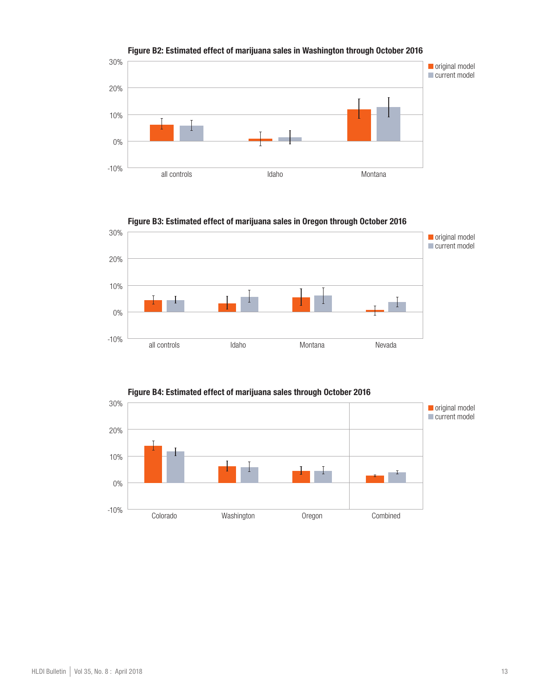



Figure B3: Estimated effect of marijuana sales in Oregon through October 2016